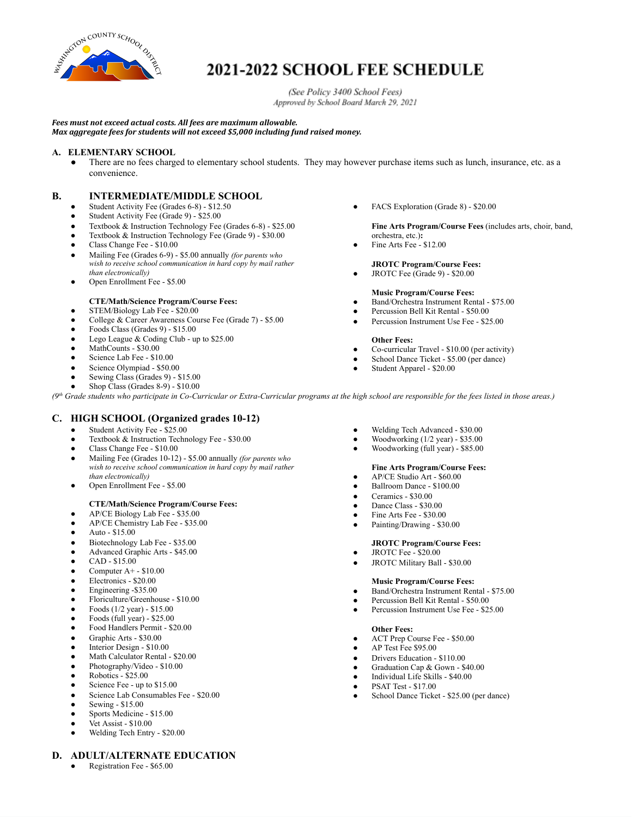

# **2021-2022 SCHOOL FEE SCHEDULE**

(See Policy 3400 School Fees) Approved by School Board March 29, 2021

*Fees must not exceed actual costs. All fees are maximum allowable. Max aggregate fees for students will not exceed \$5,000 including fund raised money.*

## **A. ELEMENTARY SCHOOL**

● There are no fees charged to elementary school students. They may however purchase items such as lunch, insurance, etc. as a convenience.

# **B. INTERMEDIATE/MIDDLE SCHOOL**

- Student Activity Fee (Grades 6-8) \$12.50
- Student Activity Fee (Grade 9) \$25.00
- Textbook & Instruction Technology Fee (Grades 6-8) \$25.00
- Textbook & Instruction Technology Fee (Grade 9) \$30.00
- Class Change Fee \$10.00
- Mailing Fee (Grades 6-9) \$5.00 annually *(for parents who wish to receive school communication in hard copy by mail rather than electronically)*
- Open Enrollment Fee \$5.00

### **CTE/Math/Science Program/Course Fees:**

- STEM/Biology Lab Fee \$20.00
- College & Career Awareness Course Fee (Grade 7) \$5.00
- Foods Class (Grades 9) \$15.00
- Lego League & Coding Club up to \$25.00
- MathCounts \$30.00
- Science Lab Fee \$10.00
- Science Olympiad \$50.00
- Sewing Class (Grades 9) \$15.00
- Shop Class (Grades 8-9) \$10.00

● FACS Exploration (Grade 8) - \$20.00

**Fine Arts Program/Course Fees** (includes arts, choir, band, orchestra, etc.)**:**

Fine Arts Fee - \$12.00

## **JROTC Program/Course Fees:**

 $\bullet$  JROTC Fee (Grade 9) - \$20.00

#### **Music Program/Course Fees:**

- Band/Orchestra Instrument Rental \$75.00
- Percussion Bell Kit Rental \$50.00
- Percussion Instrument Use Fee \$25.00

#### **Other Fees:**

- Co-curricular Travel \$10.00 (per activity)
- School Dance Ticket \$5.00 (per dance)
- Student Apparel \$20.00
- $(9<sup>th</sup>$  Grade students who participate in Co-Curricular or Extra-Curricular programs at the high school are responsible for the fees listed in those areas.)

# **C. HIGH SCHOOL (Organized grades 10-12)**

- Student Activity Fee \$25.00
- Textbook & Instruction Technology Fee \$30.00
- Class Change Fee \$10.00
- Mailing Fee (Grades 10-12) \$5.00 annually *(for parents who wish to receive school communication in hard copy by mail rather than electronically)*
- Open Enrollment Fee \$5.00

#### **CTE/Math/Science Program/Course Fees:**

- AP/CE Biology Lab Fee \$35.00
- AP/CE Chemistry Lab Fee \$35.00
- Auto \$15.00
- Biotechnology Lab Fee \$35.00
- Advanced Graphic Arts \$45.00
- CAD \$15.00
- Computer A+ \$10.00
- Electronics \$20.00
- Engineering -\$35.00
- Floriculture/Greenhouse \$10.00
- Foods  $(1/2 \text{ year}) $15.00$
- Foods (full year)  $$25.00$
- Food Handlers Permit \$20.00
- Graphic Arts \$30.00
- Interior Design \$10.00
- Math Calculator Rental \$20.00
- Photography/Video \$10.00
- Robotics \$25.00
- Science Fee up to \$15.00
- Science Lab Consumables Fee \$20.00
- Sewing \$15.00
- Sports Medicine \$15.00
- Vet Assist \$10.00
- Welding Tech Entry \$20.00

# **D. ADULT/ALTERNATE EDUCATION**

Registration Fee - \$65.00

- Welding Tech Advanced \$30.00
- Woodworking  $(1/2 \text{ year}) $35.00$
- Woodworking (full year) \$85.00

### **Fine Arts Program/Course Fees:**

- AP/CE Studio Art \$60.00
- Ballroom Dance \$100.00
- Ceramics \$30.00
- Dance Class \$30.00
- Fine Arts Fee \$30.00
- Painting/Drawing \$30.00

#### **JROTC Program/Course Fees:**

- JROTC Fee \$20.00
- JROTC Military Ball \$30.00

#### **Music Program/Course Fees:**

- Band/Orchestra Instrument Rental \$75.00
- Percussion Bell Kit Rental \$50.00
- Percussion Instrument Use Fee \$25.00

#### **Other Fees:**

- ACT Prep Course Fee \$50.00
- AP Test Fee \$95.00
- Drivers Education \$110.00
- Graduation Cap & Gown \$40.00
- Individual Life Skills \$40.00
- PSAT Test \$17.00
- School Dance Ticket \$25.00 (per dance)